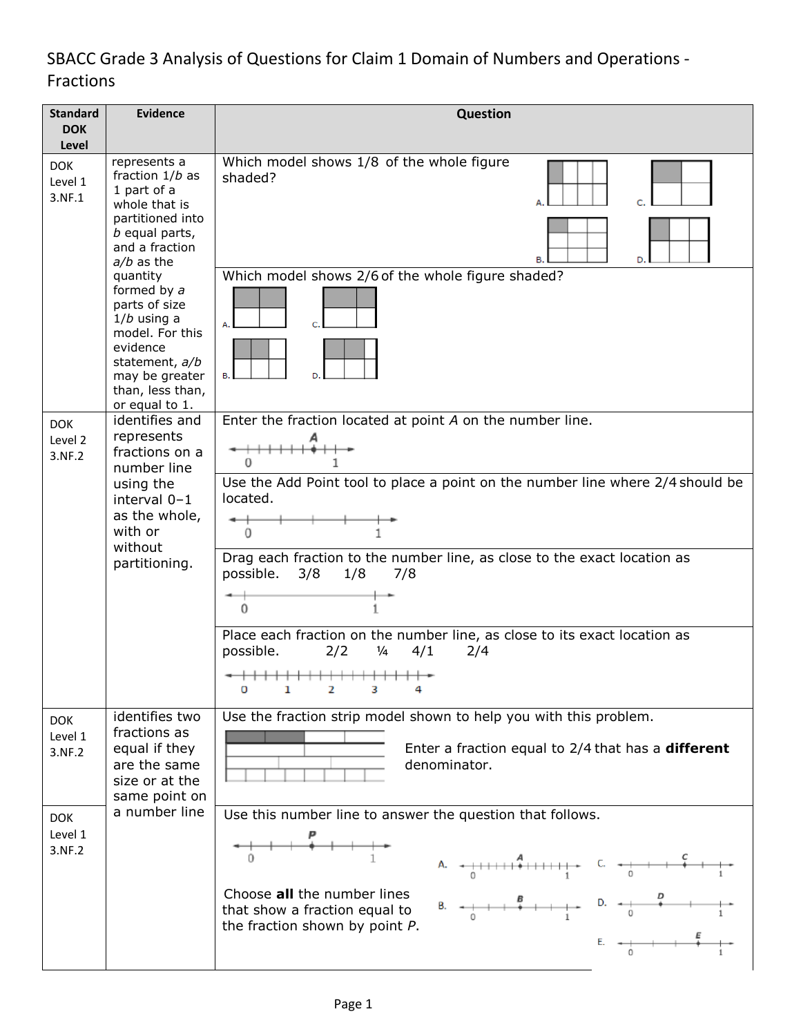# SBACC Grade 3 Analysis of Questions for Claim 1 Domain of Numbers and Operations - Fractions

| <b>Standard</b><br><b>DOK</b>   | <b>Evidence</b>                                                                                                                                                                                                                                                                                                 | Question                                                                                                                                                                                                                                                                                                                                                                                                                                                                                                                                         |  |  |  |  |
|---------------------------------|-----------------------------------------------------------------------------------------------------------------------------------------------------------------------------------------------------------------------------------------------------------------------------------------------------------------|--------------------------------------------------------------------------------------------------------------------------------------------------------------------------------------------------------------------------------------------------------------------------------------------------------------------------------------------------------------------------------------------------------------------------------------------------------------------------------------------------------------------------------------------------|--|--|--|--|
| Level                           |                                                                                                                                                                                                                                                                                                                 |                                                                                                                                                                                                                                                                                                                                                                                                                                                                                                                                                  |  |  |  |  |
| <b>DOK</b><br>Level 1<br>3.NF.1 | represents a<br>fraction $1/b$ as<br>1 part of a<br>whole that is<br>partitioned into<br>b equal parts,<br>and a fraction<br>$a/b$ as the<br>quantity<br>formed by a<br>parts of size<br>$1/b$ using a<br>model. For this<br>evidence<br>statement, a/b<br>may be greater<br>than, less than,<br>or equal to 1. | Which model shows 1/8 of the whole figure<br>shaded?<br>в.<br>D.                                                                                                                                                                                                                                                                                                                                                                                                                                                                                 |  |  |  |  |
|                                 |                                                                                                                                                                                                                                                                                                                 | Which model shows 2/6 of the whole figure shaded?                                                                                                                                                                                                                                                                                                                                                                                                                                                                                                |  |  |  |  |
| <b>DOK</b><br>Level 2<br>3.NF.2 | identifies and<br>represents<br>fractions on a<br>number line<br>using the<br>interval $0-1$<br>as the whole,<br>with or<br>without<br>partitioning.                                                                                                                                                            | Enter the fraction located at point A on the number line.<br>0                                                                                                                                                                                                                                                                                                                                                                                                                                                                                   |  |  |  |  |
|                                 |                                                                                                                                                                                                                                                                                                                 | Use the Add Point tool to place a point on the number line where 2/4 should be<br>located.<br>0                                                                                                                                                                                                                                                                                                                                                                                                                                                  |  |  |  |  |
|                                 |                                                                                                                                                                                                                                                                                                                 | Drag each fraction to the number line, as close to the exact location as<br>possible. 3/8<br>1/8<br>7/8<br>0                                                                                                                                                                                                                                                                                                                                                                                                                                     |  |  |  |  |
|                                 |                                                                                                                                                                                                                                                                                                                 | Place each fraction on the number line, as close to its exact location as<br>possible.<br>2/2<br>$\frac{1}{4}$<br>4/1<br>2/4<br>o<br>ı<br>2<br>з                                                                                                                                                                                                                                                                                                                                                                                                 |  |  |  |  |
| <b>DOK</b><br>Level 1<br>3.NF.2 | identifies two<br>fractions as<br>equal if they<br>are the same<br>size or at the<br>same point on                                                                                                                                                                                                              | Use the fraction strip model shown to help you with this problem.<br>Enter a fraction equal to $2/4$ that has a <b>different</b><br>denominator.                                                                                                                                                                                                                                                                                                                                                                                                 |  |  |  |  |
| <b>DOK</b><br>Level 1<br>3.NF.2 | a number line                                                                                                                                                                                                                                                                                                   | Use this number line to answer the question that follows.<br>A. $\leftarrow +$ $\leftarrow +$ $\leftarrow +$ $\leftarrow +$ $\leftarrow +$ $\leftarrow +$ $\leftarrow +$ $\leftarrow +$ $\leftarrow +$ $\leftarrow +$ $\leftarrow +$ $\leftarrow +$ $\leftarrow +$ $\leftarrow +$ $\leftarrow +$ $\leftarrow +$ $\leftarrow +$ $\leftarrow +$ $\leftarrow +$ $\leftarrow +$ $\leftarrow +$ $\leftarrow +$ $\leftarrow +$ $\leftarrow +$ $\leftarrow +$ $\leftarrow +$ $\leftarrow +$ $\leftarrow +$ $\leftarrow +$ $\leftarrow +$ $\leftarrow +$ |  |  |  |  |
|                                 |                                                                                                                                                                                                                                                                                                                 | Choose all the number lines<br>that show a fraction equal to<br>the fraction shown by point P.<br>E. $\leftarrow$ $\leftarrow$ $\leftarrow$                                                                                                                                                                                                                                                                                                                                                                                                      |  |  |  |  |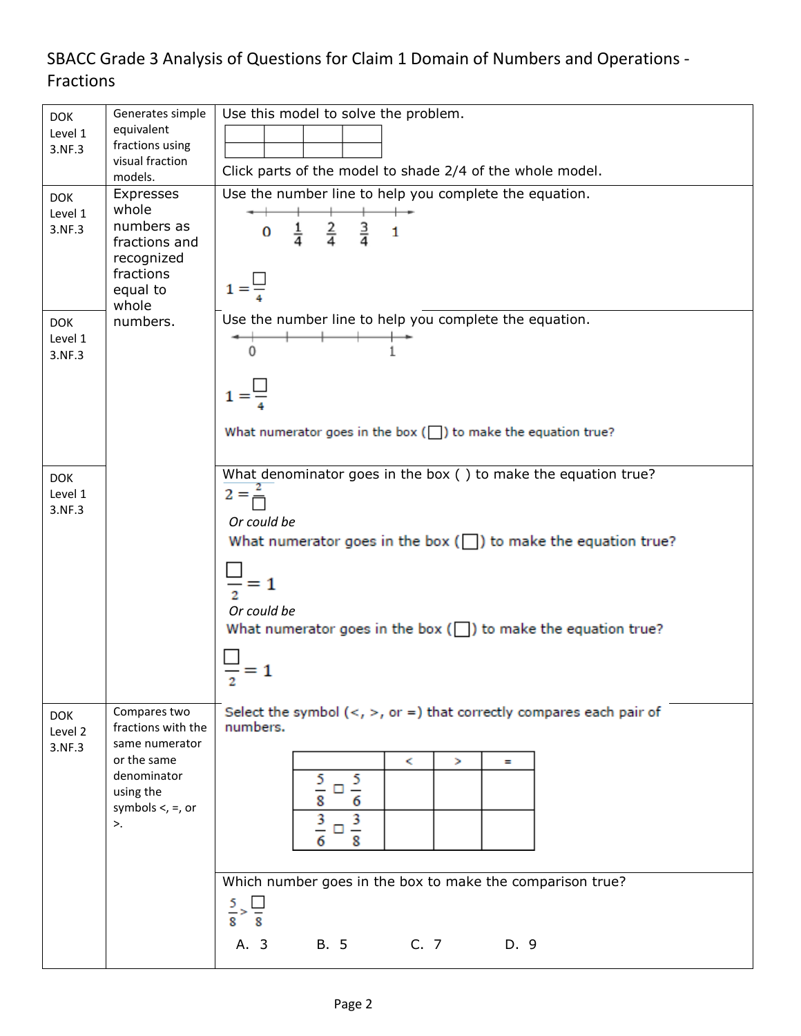## SBACC Grade 3 Analysis of Questions for Claim 1 Domain of Numbers and Operations - Fractions

| <b>DOK</b><br>Level 1<br>3.NF.3<br><b>DOK</b><br>Level 1<br>3.NF.3 | Generates simple<br>equivalent<br>fractions using<br>visual fraction<br>models.<br>Expresses<br>whole<br>numbers as<br>fractions and<br>recognized<br>fractions<br>equal to | Use this model to solve the problem.<br>Click parts of the model to shade 2/4 of the whole model.<br>Use the number line to help you complete the equation.<br>$0 \frac{1}{4} \frac{2}{4} \frac{3}{4} 1$<br>$1 = \frac{1}{2}$                                                                    |  |  |  |  |  |
|--------------------------------------------------------------------|-----------------------------------------------------------------------------------------------------------------------------------------------------------------------------|--------------------------------------------------------------------------------------------------------------------------------------------------------------------------------------------------------------------------------------------------------------------------------------------------|--|--|--|--|--|
| <b>DOK</b><br>Level 1<br>3.NF.3                                    | whole<br>numbers.                                                                                                                                                           | Use the number line to help you complete the equation.<br>$\overline{0}$<br>$1 = \frac{\Box}{\Box}$<br>What numerator goes in the box $(\Box)$ to make the equation true?                                                                                                                        |  |  |  |  |  |
| <b>DOK</b><br>Level 1<br>3.NF.3                                    |                                                                                                                                                                             | What denominator goes in the box () to make the equation true?<br>$2 = \frac{2}{1}$<br>Or could be<br>What numerator goes in the box $(\Box)$ to make the equation true?<br>$\frac{1}{2}$ = 1<br>Or could be<br>What numerator goes in the box $(\square)$ to make the equation true?<br>$- = 1$ |  |  |  |  |  |
| <b>DOK</b><br>Level 2<br>3.NF.3                                    | Compares two<br>fractions with the<br>same numerator<br>or the same<br>denominator<br>using the<br>symbols $\lt$ , $=$ , or<br>$\mathbf{>}.$                                | Select the symbol $(<, >,$ or =) that correctly compares each pair of<br>numbers.<br>ĸ.<br>×<br>$\equiv$<br>$\frac{5}{7}$<br>5<br>ப<br>8<br>6<br>$\frac{3}{2}$ $\Box$<br>$\frac{3}{5}$<br>6<br>8<br>Which number goes in the box to make the comparison true?<br>$rac{5}{8}$<br>$\frac{1}{8}$    |  |  |  |  |  |
|                                                                    |                                                                                                                                                                             | C.7<br>A. 3<br><b>B.</b> 5<br>D. 9                                                                                                                                                                                                                                                               |  |  |  |  |  |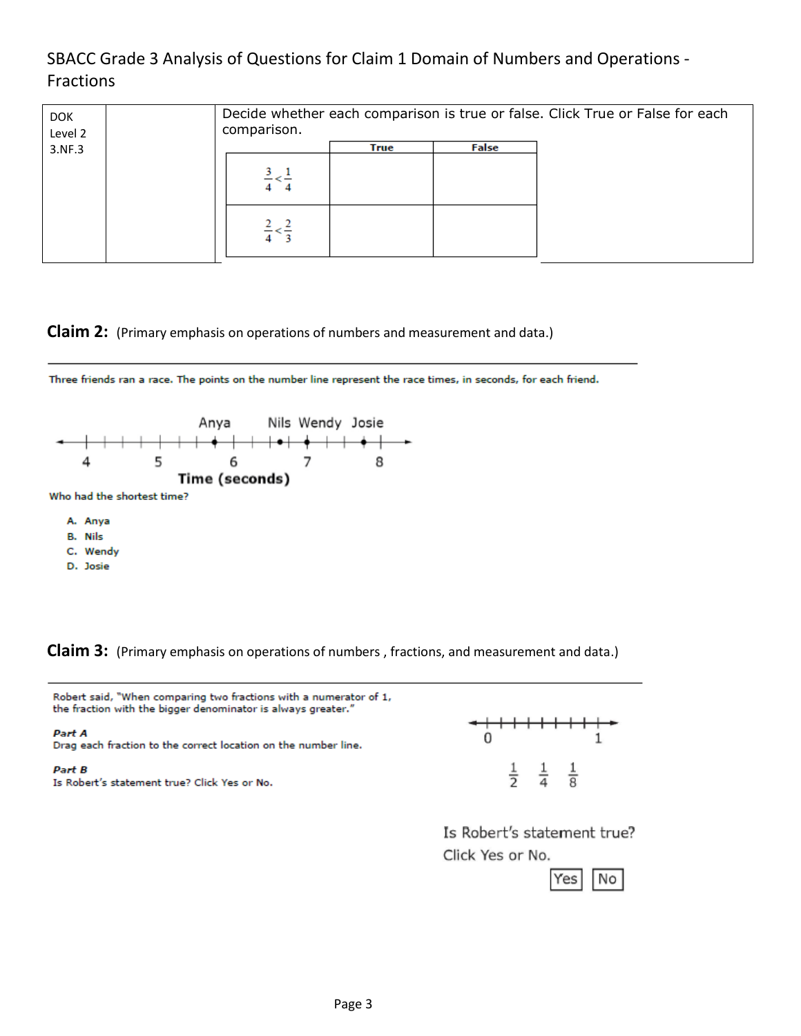SBACC Grade 3 Analysis of Questions for Claim 1 Domain of Numbers and Operations - Fractions

| <b>DOK</b><br>Level 2 |  | comparison. |      |       | Decide whether each comparison is true or false. Click True or False for each |
|-----------------------|--|-------------|------|-------|-------------------------------------------------------------------------------|
| 3.NF.3                |  |             | True | False |                                                                               |
|                       |  |             |      |       |                                                                               |
|                       |  |             |      |       |                                                                               |

**Claim 2:** (Primary emphasis on operations of numbers and measurement and data.)

Three friends ran a race. The points on the number line represent the race times, in seconds, for each friend.



**Claim 3:** (Primary emphasis on operations of numbers , fractions, and measurement and data.)



Is Robert's statement true? Click Yes or No.